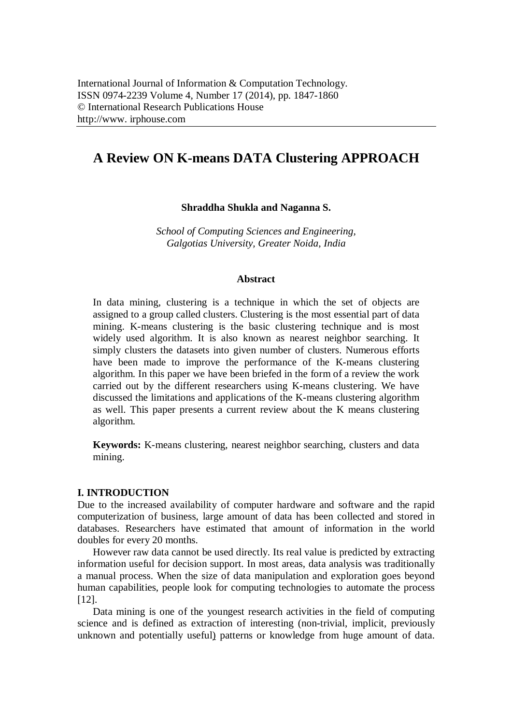# **A Review ON K-means DATA Clustering APPROACH**

**Shraddha Shukla and Naganna S.**

*School of Computing Sciences and Engineering, Galgotias University, Greater Noida, India*

### **Abstract**

In data mining, clustering is a technique in which the set of objects are assigned to a group called clusters. Clustering is the most essential part of data mining. K-means clustering is the basic clustering technique and is most widely used algorithm. It is also known as nearest neighbor searching. It simply clusters the datasets into given number of clusters. Numerous efforts have been made to improve the performance of the K-means clustering algorithm. In this paper we have been briefed in the form of a review the work carried out by the different researchers using K-means clustering. We have discussed the limitations and applications of the K-means clustering algorithm as well. This paper presents a current review about the K means clustering algorithm.

**Keywords:** K-means clustering, nearest neighbor searching, clusters and data mining.

### **I. INTRODUCTION**

Due to the increased availability of computer hardware and software and the rapid computerization of business, large amount of data has been collected and stored in databases. Researchers have estimated that amount of information in the world doubles for every 20 months.

However raw data cannot be used directly. Its real value is predicted by extracting information useful for decision support. In most areas, data analysis was traditionally a manual process. When the size of data manipulation and exploration goes beyond human capabilities, people look for computing technologies to automate the process [12].

Data mining is one of the youngest research activities in the field of computing science and is defined as extraction of interesting (non-trivial, implicit, previously unknown and potentially useful) patterns or knowledge from huge amount of data.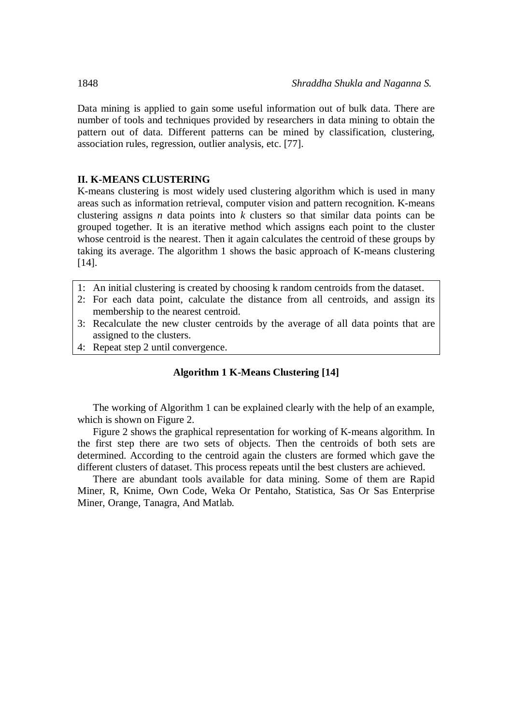Data mining is applied to gain some useful information out of bulk data. There are number of tools and techniques provided by researchers in data mining to obtain the pattern out of data. Different patterns can be mined by classification, clustering, association rules, regression, outlier analysis, etc. [77].

## **II. K-MEANS CLUSTERING**

K-means clustering is most widely used clustering algorithm which is used in many areas such as information retrieval, computer vision and pattern recognition. K-means clustering assigns *n* data points into *k* clusters so that similar data points can be grouped together. It is an iterative method which assigns each point to the cluster whose centroid is the nearest. Then it again calculates the centroid of these groups by taking its average. The algorithm 1 shows the basic approach of K-means clustering [14].

- 1: An initial clustering is created by choosing k random centroids from the dataset.
- 2: For each data point, calculate the distance from all centroids, and assign its membership to the nearest centroid.
- 3: Recalculate the new cluster centroids by the average of all data points that are assigned to the clusters.
- 4: Repeat step 2 until convergence.

# **Algorithm 1 K-Means Clustering [14]**

The working of Algorithm 1 can be explained clearly with the help of an example, which is shown on Figure 2.

Figure 2 shows the graphical representation for working of K-means algorithm. In the first step there are two sets of objects. Then the centroids of both sets are determined. According to the centroid again the clusters are formed which gave the different clusters of dataset. This process repeats until the best clusters are achieved.

There are abundant tools available for data mining. Some of them are Rapid Miner, R, Knime, Own Code, Weka Or Pentaho, Statistica, Sas Or Sas Enterprise Miner, Orange, Tanagra, And Matlab.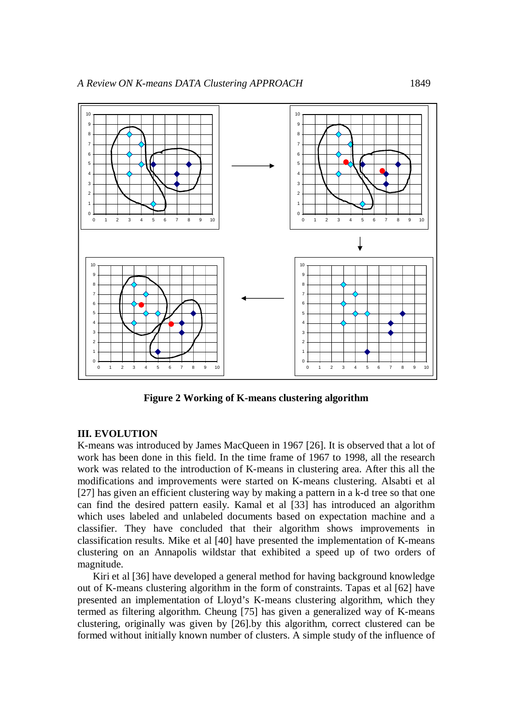

**Figure 2 Working of K-means clustering algorithm**

### **III. EVOLUTION**

K-means was introduced by James MacQueen in 1967 [26]. It is observed that a lot of work has been done in this field. In the time frame of 1967 to 1998, all the research work was related to the introduction of K-means in clustering area. After this all the modifications and improvements were started on K-means clustering. Alsabti et al [27] has given an efficient clustering way by making a pattern in a k-d tree so that one can find the desired pattern easily. Kamal et al [33] has introduced an algorithm which uses labeled and unlabeled documents based on expectation machine and a classifier. They have concluded that their algorithm shows improvements in classification results. Mike et al [40] have presented the implementation of K-means clustering on an Annapolis wildstar that exhibited a speed up of two orders of magnitude.

Kiri et al [36] have developed a general method for having background knowledge out of K-means clustering algorithm in the form of constraints. Tapas et al [62] have presented an implementation of Lloyd's K-means clustering algorithm, which they termed as filtering algorithm. Cheung [75] has given a generalized way of K-means clustering, originally was given by [26].by this algorithm, correct clustered can be formed without initially known number of clusters. A simple study of the influence of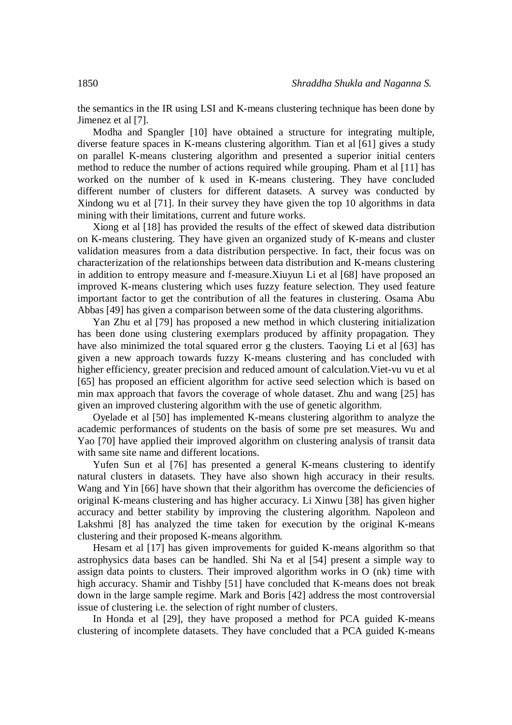the semantics in the IR using LSI and K-means clustering technique has been done by Jimenez et al [7].

Modha and Spangler [10] have obtained a structure for integrating multiple, diverse feature spaces in K-means clustering algorithm. Tian et al [61] gives a study on parallel K-means clustering algorithm and presented a superior initial centers method to reduce the number of actions required while grouping. Pham et al [11] has worked on the number of k used in K-means clustering. They have concluded different number of clusters for different datasets. A survey was conducted by Xindong wu et al [71]. In their survey they have given the top 10 algorithms in data mining with their limitations, current and future works.

Xiong et al [18] has provided the results of the effect of skewed data distribution on K-means clustering. They have given an organized study of K-means and cluster validation measures from a data distribution perspective. In fact, their focus was on characterization of the relationships between data distribution and K-means clustering in addition to entropy measure and f-measure.Xiuyun Li et al [68] have proposed an improved K-means clustering which uses fuzzy feature selection. They used feature important factor to get the contribution of all the features in clustering. Osama Abu Abbas [49] has given a comparison between some of the data clustering algorithms.

Yan Zhu et al [79] has proposed a new method in which clustering initialization has been done using clustering exemplars produced by affinity propagation. They have also minimized the total squared error g the clusters. Taoying Li et al [63] has given a new approach towards fuzzy K-means clustering and has concluded with higher efficiency, greater precision and reduced amount of calculation.Viet-vu vu et al [65] has proposed an efficient algorithm for active seed selection which is based on min max approach that favors the coverage of whole dataset. Zhu and wang [25] has given an improved clustering algorithm with the use of genetic algorithm.

Oyelade et al [50] has implemented K-means clustering algorithm to analyze the academic performances of students on the basis of some pre set measures. Wu and Yao [70] have applied their improved algorithm on clustering analysis of transit data with same site name and different locations.

Yufen Sun et al [76] has presented a general K-means clustering to identify natural clusters in datasets. They have also shown high accuracy in their results. Wang and Yin [66] have shown that their algorithm has overcome the deficiencies of original K-means clustering and has higher accuracy. Li Xinwu [38] has given higher accuracy and better stability by improving the clustering algorithm. Napoleon and Lakshmi [8] has analyzed the time taken for execution by the original K-means clustering and their proposed K-means algorithm.

Hesam et al [17] has given improvements for guided K-means algorithm so that astrophysics data bases can be handled. Shi Na et al [54] present a simple way to assign data points to clusters. Their improved algorithm works in O (nk) time with high accuracy. Shamir and Tishby [51] have concluded that K-means does not break down in the large sample regime. Mark and Boris [42] address the most controversial issue of clustering i.e. the selection of right number of clusters.

In Honda et al [29], they have proposed a method for PCA guided K-means clustering of incomplete datasets. They have concluded that a PCA guided K-means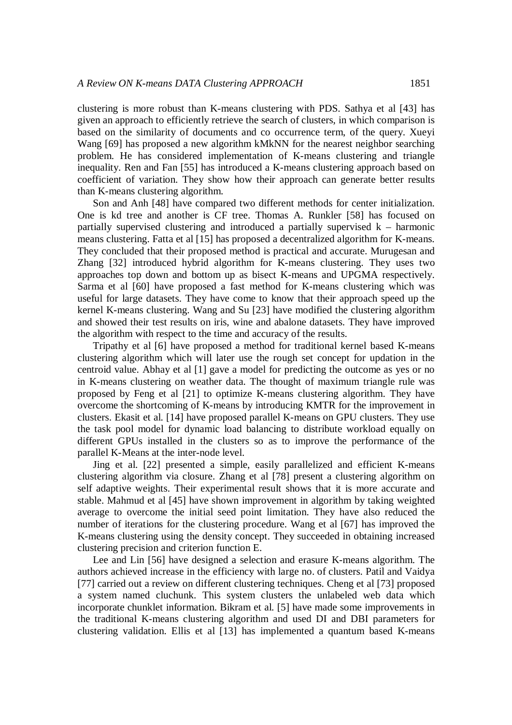clustering is more robust than K-means clustering with PDS. Sathya et al [43] has given an approach to efficiently retrieve the search of clusters, in which comparison is based on the similarity of documents and co occurrence term, of the query. Xueyi Wang [69] has proposed a new algorithm kMkNN for the nearest neighbor searching problem. He has considered implementation of K-means clustering and triangle inequality. Ren and Fan [55] has introduced a K-means clustering approach based on coefficient of variation. They show how their approach can generate better results than K-means clustering algorithm.

Son and Anh [48] have compared two different methods for center initialization. One is kd tree and another is CF tree. Thomas A. Runkler [58] has focused on partially supervised clustering and introduced a partially supervised  $k -$  harmonic means clustering. Fatta et al [15] has proposed a decentralized algorithm for K-means. They concluded that their proposed method is practical and accurate. Murugesan and Zhang [32] introduced hybrid algorithm for K-means clustering. They uses two approaches top down and bottom up as bisect K-means and UPGMA respectively. Sarma et al [60] have proposed a fast method for K-means clustering which was useful for large datasets. They have come to know that their approach speed up the kernel K-means clustering. Wang and Su [23] have modified the clustering algorithm and showed their test results on iris, wine and abalone datasets. They have improved the algorithm with respect to the time and accuracy of the results.

Tripathy et al [6] have proposed a method for traditional kernel based K-means clustering algorithm which will later use the rough set concept for updation in the centroid value. Abhay et al [1] gave a model for predicting the outcome as yes or no in K-means clustering on weather data. The thought of maximum triangle rule was proposed by Feng et al [21] to optimize K-means clustering algorithm. They have overcome the shortcoming of K-means by introducing KMTR for the improvement in clusters. Ekasit et al. [14] have proposed parallel K-means on GPU clusters. They use the task pool model for dynamic load balancing to distribute workload equally on different GPUs installed in the clusters so as to improve the performance of the parallel K-Means at the inter-node level.

Jing et al. [22] presented a simple, easily parallelized and efficient K-means clustering algorithm via closure. Zhang et al [78] present a clustering algorithm on self adaptive weights. Their experimental result shows that it is more accurate and stable. Mahmud et al [45] have shown improvement in algorithm by taking weighted average to overcome the initial seed point limitation. They have also reduced the number of iterations for the clustering procedure. Wang et al [67] has improved the K-means clustering using the density concept. They succeeded in obtaining increased clustering precision and criterion function E.

Lee and Lin [56] have designed a selection and erasure K-means algorithm. The authors achieved increase in the efficiency with large no. of clusters. Patil and Vaidya [77] carried out a review on different clustering techniques. Cheng et al [73] proposed a system named cluchunk. This system clusters the unlabeled web data which incorporate chunklet information. Bikram et al. [5] have made some improvements in the traditional K-means clustering algorithm and used DI and DBI parameters for clustering validation. Ellis et al [13] has implemented a quantum based K-means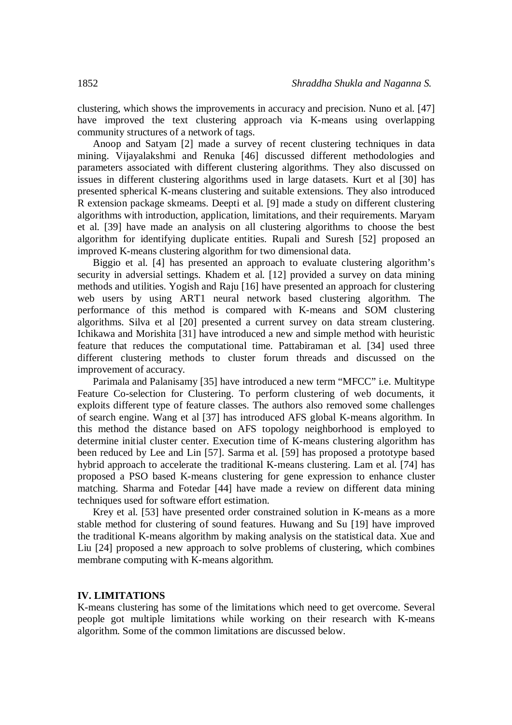clustering, which shows the improvements in accuracy and precision. Nuno et al. [47] have improved the text clustering approach via K-means using overlapping community structures of a network of tags.

Anoop and Satyam [2] made a survey of recent clustering techniques in data mining. Vijayalakshmi and Renuka [46] discussed different methodologies and parameters associated with different clustering algorithms. They also discussed on issues in different clustering algorithms used in large datasets. Kurt et al [30] has presented spherical K-means clustering and suitable extensions. They also introduced R extension package skmeams. Deepti et al. [9] made a study on different clustering algorithms with introduction, application, limitations, and their requirements. Maryam et al. [39] have made an analysis on all clustering algorithms to choose the best algorithm for identifying duplicate entities. Rupali and Suresh [52] proposed an improved K-means clustering algorithm for two dimensional data.

Biggio et al. [4] has presented an approach to evaluate clustering algorithm's security in adversial settings. Khadem et al. [12] provided a survey on data mining methods and utilities. Yogish and Raju [16] have presented an approach for clustering web users by using ART1 neural network based clustering algorithm. The performance of this method is compared with K-means and SOM clustering algorithms. Silva et al [20] presented a current survey on data stream clustering. Ichikawa and Morishita [31] have introduced a new and simple method with heuristic feature that reduces the computational time. Pattabiraman et al. [34] used three different clustering methods to cluster forum threads and discussed on the improvement of accuracy.

Parimala and Palanisamy [35] have introduced a new term "MFCC" i.e. Multitype Feature Co-selection for Clustering. To perform clustering of web documents, it exploits different type of feature classes. The authors also removed some challenges of search engine. Wang et al [37] has introduced AFS global K-means algorithm. In this method the distance based on AFS topology neighborhood is employed to determine initial cluster center. Execution time of K-means clustering algorithm has been reduced by Lee and Lin [57]. Sarma et al. [59] has proposed a prototype based hybrid approach to accelerate the traditional K-means clustering. Lam et al. [74] has proposed a PSO based K-means clustering for gene expression to enhance cluster matching. Sharma and Fotedar [44] have made a review on different data mining techniques used for software effort estimation.

Krey et al. [53] have presented order constrained solution in K-means as a more stable method for clustering of sound features. Huwang and Su [19] have improved the traditional K-means algorithm by making analysis on the statistical data. Xue and Liu [24] proposed a new approach to solve problems of clustering, which combines membrane computing with K-means algorithm.

#### **IV. LIMITATIONS**

K-means clustering has some of the limitations which need to get overcome. Several people got multiple limitations while working on their research with K-means algorithm. Some of the common limitations are discussed below.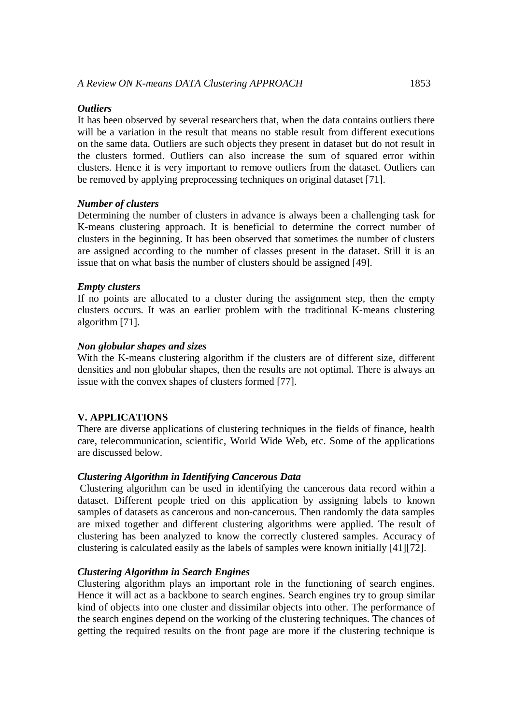#### *Outliers*

It has been observed by several researchers that, when the data contains outliers there will be a variation in the result that means no stable result from different executions on the same data. Outliers are such objects they present in dataset but do not result in the clusters formed. Outliers can also increase the sum of squared error within clusters. Hence it is very important to remove outliers from the dataset. Outliers can be removed by applying preprocessing techniques on original dataset [71].

#### *Number of clusters*

Determining the number of clusters in advance is always been a challenging task for K-means clustering approach. It is beneficial to determine the correct number of clusters in the beginning. It has been observed that sometimes the number of clusters are assigned according to the number of classes present in the dataset. Still it is an issue that on what basis the number of clusters should be assigned [49].

#### *Empty clusters*

If no points are allocated to a cluster during the assignment step, then the empty clusters occurs. It was an earlier problem with the traditional K-means clustering algorithm [71].

#### *Non globular shapes and sizes*

With the K-means clustering algorithm if the clusters are of different size, different densities and non globular shapes, then the results are not optimal. There is always an issue with the convex shapes of clusters formed [77].

### **V. APPLICATIONS**

There are diverse applications of clustering techniques in the fields of finance, health care, telecommunication, scientific, World Wide Web, etc. Some of the applications are discussed below.

### *Clustering Algorithm in Identifying Cancerous Data*

Clustering algorithm can be used in identifying the cancerous data record within a dataset. Different people tried on this application by assigning labels to known samples of datasets as cancerous and non-cancerous. Then randomly the data samples are mixed together and different clustering algorithms were applied. The result of clustering has been analyzed to know the correctly clustered samples. Accuracy of clustering is calculated easily as the labels of samples were known initially [41][72].

#### *Clustering Algorithm in Search Engines*

Clustering algorithm plays an important role in the functioning of search engines. Hence it will act as a backbone to search engines. Search engines try to group similar kind of objects into one cluster and dissimilar objects into other. The performance of the search engines depend on the working of the clustering techniques. The chances of getting the required results on the front page are more if the clustering technique is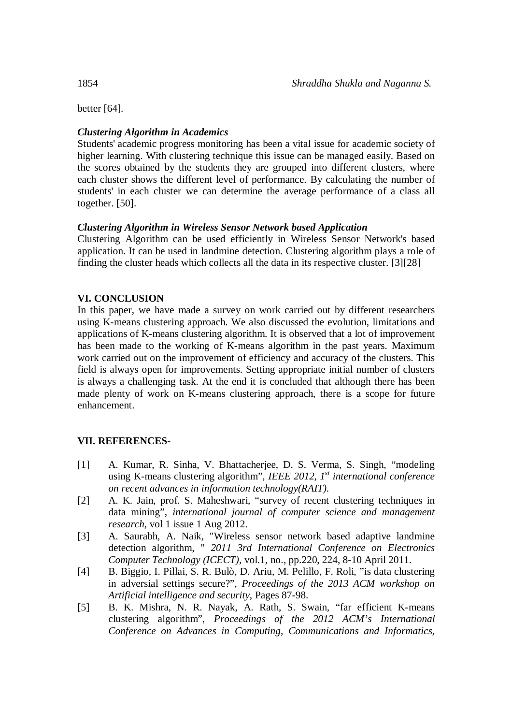better [64].

# *Clustering Algorithm in Academics*

Students' academic progress monitoring has been a vital issue for academic society of higher learning. With clustering technique this issue can be managed easily. Based on the scores obtained by the students they are grouped into different clusters, where each cluster shows the different level of performance. By calculating the number of students' in each cluster we can determine the average performance of a class all together. [50].

# *Clustering Algorithm in Wireless Sensor Network based Application*

Clustering Algorithm can be used efficiently in Wireless Sensor Network's based application. It can be used in landmine detection. Clustering algorithm plays a role of finding the cluster heads which collects all the data in its respective cluster. [3][28]

# **VI. CONCLUSION**

In this paper, we have made a survey on work carried out by different researchers using K-means clustering approach. We also discussed the evolution, limitations and applications of K-means clustering algorithm. It is observed that a lot of improvement has been made to the working of K-means algorithm in the past years. Maximum work carried out on the improvement of efficiency and accuracy of the clusters. This field is always open for improvements. Setting appropriate initial number of clusters is always a challenging task. At the end it is concluded that although there has been made plenty of work on K-means clustering approach, there is a scope for future enhancement.

# **VII. REFERENCES-**

- [1] A. Kumar, R. Sinha, V. Bhattacherjee, D. S. Verma, S. Singh, "modeling using K-means clustering algorithm", *IEEE 2012, 1 st international conference on recent advances in information technology(RAIT).*
- [2] A. K. Jain, prof. S. Maheshwari, "survey of recent clustering techniques in data mining", *international journal of computer science and management research*, vol 1 issue 1 Aug 2012.
- [3] A. Saurabh, A. Naik, "Wireless sensor network based adaptive landmine detection algorithm, " *2011 3rd International Conference on Electronics Computer Technology (ICECT),* vol.1, no., pp.220, 224, 8-10 April 2011.
- [4] B. Biggio, I. Pillai, S. R. Bulò, D. Ariu, M. Pelillo, F. Roli, "is data clustering in adversial settings secure?", *Proceedings of the 2013 ACM workshop on Artificial intelligence and security*, Pages 87-98.
- [5] B. K. Mishra, N. R. Nayak, A. Rath, S. Swain, "far efficient K-means clustering algorithm", *Proceedings of the 2012 ACM's International Conference on Advances in Computing, Communications and Informatics,*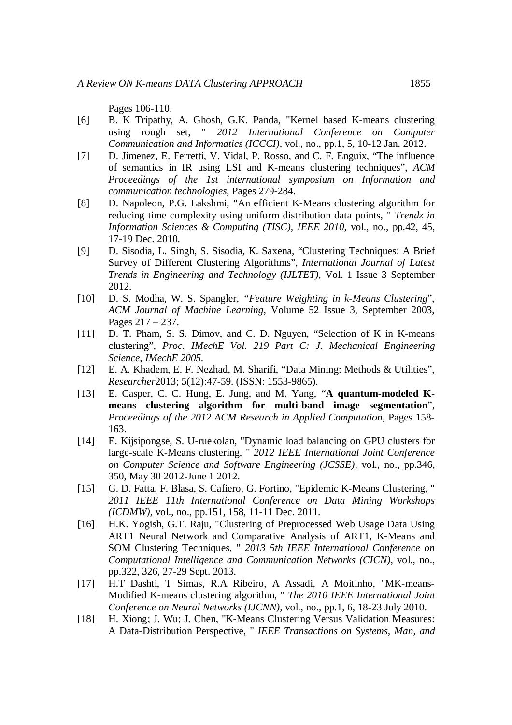Pages 106-110.

- [6] B. K Tripathy, A. Ghosh, G.K. Panda, "Kernel based K-means clustering using rough set, " *2012 International Conference on Computer Communication and Informatics (ICCCI),* vol., no., pp.1, 5, 10-12 Jan. 2012.
- [7] D. Jimenez, E. Ferretti, V. Vidal, P. Rosso, and C. F. Enguix, "The influence of semantics in IR using LSI and K-means clustering techniques", *ACM Proceedings of the 1st international symposium on Information and communication technologies*, Pages 279-284.
- [8] D. Napoleon, P.G. Lakshmi, "An efficient K-Means clustering algorithm for reducing time complexity using uniform distribution data points, " *Trendz in Information Sciences & Computing (TISC), IEEE 2010*, vol., no., pp.42, 45, 17-19 Dec. 2010.
- [9] D. Sisodia, L. Singh, S. Sisodia, K. Saxena, "Clustering Techniques: A Brief Survey of Different Clustering Algorithms", *International Journal of Latest Trends in Engineering and Technology (IJLTET)*, Vol. 1 Issue 3 September 2012.
- [10] D. S. Modha, W. S. Spangler*, "Feature Weighting in k-Means Clustering*", *ACM Journal of Machine Learning*, Volume 52 Issue 3, September 2003, Pages 217 – 237.
- [11] D. T. Pham, S. S. Dimov, and C. D. Nguyen, "Selection of K in K-means clustering", *Proc. IMechE Vol. 219 Part C: J. Mechanical Engineering Science, IMechE 2005.*
- [12] E. A. Khadem, E. F. Nezhad, M. Sharifi, "Data Mining: Methods & Utilities", *Researcher*2013; 5(12):47-59. (ISSN: 1553-9865).
- [13] E. Casper, C. C. Hung, E. Jung, and M. Yang, "**A quantum-modeled Kmeans clustering algorithm for multi-band image segmentation**", *Proceedings of the 2012 ACM Research in Applied Computation*, Pages 158- 163.
- [14] E. Kijsipongse, S. U-ruekolan, "Dynamic load balancing on GPU clusters for large-scale K-Means clustering, " *2012 IEEE International Joint Conference on Computer Science and Software Engineering (JCSSE),* vol., no., pp.346, 350, May 30 2012-June 1 2012.
- [15] G. D. Fatta, F. Blasa, S. Cafiero, G. Fortino, "Epidemic K-Means Clustering, " *2011 IEEE 11th International Conference on Data Mining Workshops (ICDMW),* vol., no., pp.151, 158, 11-11 Dec. 2011.
- [16] H.K. Yogish, G.T. Raju, "Clustering of Preprocessed Web Usage Data Using ART1 Neural Network and Comparative Analysis of ART1, K-Means and SOM Clustering Techniques, " *2013 5th IEEE International Conference on Computational Intelligence and Communication Networks (CICN),* vol., no., pp.322, 326, 27-29 Sept. 2013.
- [17] H.T Dashti, T Simas, R.A Ribeiro, A Assadi, A Moitinho, "MK-means-Modified K-means clustering algorithm, " *The 2010 IEEE International Joint Conference on Neural Networks (IJCNN),* vol., no., pp.1, 6, 18-23 July 2010.
- [18] H. Xiong; J. Wu; J. Chen, "K-Means Clustering Versus Validation Measures: A Data-Distribution Perspective, " *IEEE Transactions on Systems, Man, and*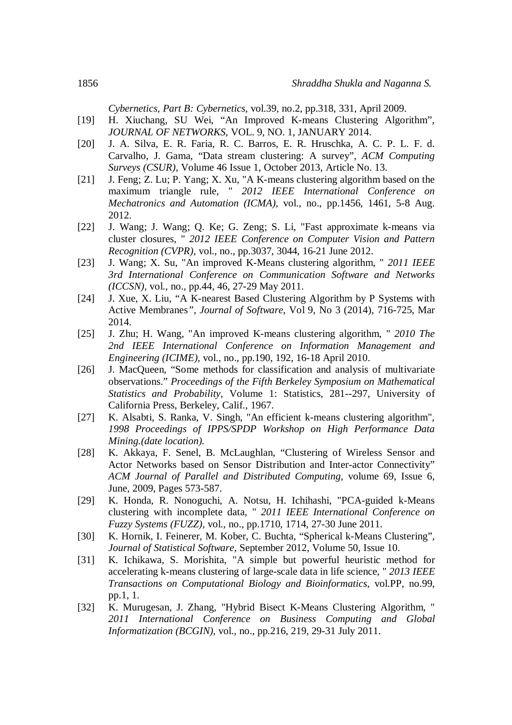*Cybernetics, Part B: Cybernetics,* vol.39, no.2, pp.318, 331, April 2009.

- [19] H. Xiuchang, SU Wei, "An Improved K-means Clustering Algorithm", *JOURNAL OF NETWORKS*, VOL. 9, NO. 1, JANUARY 2014.
- [20] J. A. Silva, E. R. Faria, R. C. Barros, E. R. Hruschka, A. C. P. L. F. d. Carvalho, J. Gama, "Data stream clustering: A survey", *ACM Computing Surveys (CSUR),* Volume 46 Issue 1, October 2013, Article No. 13.
- [21] J. Feng; Z. Lu; P. Yang; X. Xu, "A K-means clustering algorithm based on the maximum triangle rule, " *2012 IEEE International Conference on Mechatronics and Automation (ICMA),* vol., no., pp.1456, 1461, 5-8 Aug. 2012.
- [22] J. Wang; J. Wang; Q. Ke; G. Zeng; S. Li, "Fast approximate k-means via cluster closures, " *2012 IEEE Conference on Computer Vision and Pattern Recognition (CVPR),* vol., no., pp.3037, 3044, 16-21 June 2012.
- [23] J. Wang; X. Su, "An improved K-Means clustering algorithm, " *2011 IEEE 3rd International Conference on Communication Software and Networks (ICCSN),* vol., no., pp.44, 46, 27-29 May 2011.
- [24] J. Xue, X. Liu, "A K-nearest Based Clustering Algorithm by P Systems with Active Membranes*", Journal of Software*, Vol 9, No 3 (2014), 716-725, Mar 2014.
- [25] J. Zhu; H. Wang, "An improved K-means clustering algorithm, " *2010 The 2nd IEEE International Conference on Information Management and Engineering (ICIME),* vol., no., pp.190, 192, 16-18 April 2010.
- [26] J. MacQueen, "Some methods for classification and analysis of multivariate observations." *Proceedings of the Fifth Berkeley Symposium on Mathematical Statistics and Probability,* Volume 1: Statistics, 281--297, University of California Press, Berkeley, Calif., 1967.
- [27] K. Alsabti, S. Ranka, V. Singh, "An efficient k-means clustering algorithm", *1998 Proceedings of IPPS/SPDP Workshop on High Performance Data Mining.(date location).*
- [28] K. Akkaya, F. Senel, B. McLaughlan, "Clustering of Wireless Sensor and Actor Networks based on Sensor Distribution and Inter-actor Connectivity" *ACM Journal of Parallel and Distributed Computing,* volume 69, Issue 6, June, 2009, Pages 573-587.
- [29] K. Honda, R. Nonoguchi, A. Notsu, H. Ichihashi, "PCA-guided k-Means clustering with incomplete data, " *2011 IEEE International Conference on Fuzzy Systems (FUZZ),* vol., no., pp.1710, 1714, 27-30 June 2011.
- [30] K. Hornik, I. Feinerer, M. Kober, C. Buchta, "Spherical k-Means Clustering", *Journal of Statistical Software*, September 2012, Volume 50, Issue 10.
- [31] K. Ichikawa, S. Morishita, "A simple but powerful heuristic method for accelerating k-means clustering of large-scale data in life science, " *2013 IEEE Transactions on Computational Biology and Bioinformatics,* vol.PP, no.99, pp.1, 1.
- [32] K. Murugesan, J. Zhang, "Hybrid Bisect K-Means Clustering Algorithm, " *2011 International Conference on Business Computing and Global Informatization (BCGIN),* vol., no., pp.216, 219, 29-31 July 2011.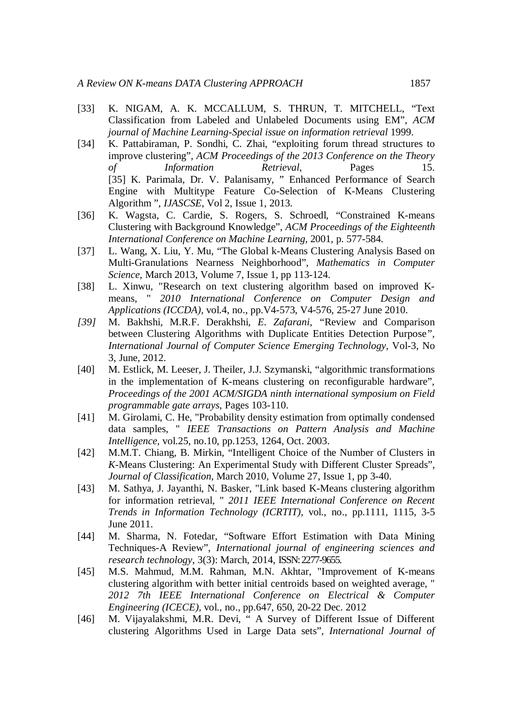- [33] K. NIGAM, A. K. MCCALLUM, S. THRUN, T. MITCHELL, "Text Classification from Labeled and Unlabeled Documents using EM", *ACM journal of Machine Learning-Special issue on information retrieval* 1999.
- [34] K. Pattabiraman, P. Sondhi, C. Zhai, "exploiting forum thread structures to improve clustering", *ACM Proceedings of the 2013 Conference on the Theory of Information Retrieval*, Pages 15. [35] K. Parimala, Dr. V. Palanisamy, " Enhanced Performance of Search Engine with Multitype Feature Co-Selection of K-Means Clustering Algorithm ", *IJASCSE*, Vol 2, Issue 1, 2013.
- [36] K. Wagsta, C. Cardie, S. Rogers, S. Schroedl, "Constrained K-means Clustering with Background Knowledge", *ACM Proceedings of the Eighteenth International Conference on Machine Learning*, 2001, p. 577-584.
- [37] L. Wang, X. Liu, Y. Mu, "The Global k-Means Clustering Analysis Based on Multi-Granulations Nearness Neighborhood", *Mathematics in Computer Science*, March 2013, Volume 7, Issue 1, pp 113-124.
- [38] L. Xinwu, "Research on text clustering algorithm based on improved Kmeans, " *2010 International Conference on Computer Design and Applications (ICCDA),* vol.4, no., pp.V4-573, V4-576, 25-27 June 2010.
- *[39]* M. Bakhshi, M.R.F. Derakhshi*, E. Zafarani, "*Review and Comparison between Clustering Algorithms with Duplicate Entities Detection Purpose*", International Journal of Computer Science Emerging Technology*, Vol-3, No 3, June, 2012.
- [40] M. Estlick, M. Leeser, J. Theiler, J.J. Szymanski, "algorithmic transformations in the implementation of K-means clustering on reconfigurable hardware", *Proceedings of the 2001 ACM/SIGDA ninth international symposium on Field programmable gate arrays*, Pages 103-110.
- [41] M. Girolami, C. He, "Probability density estimation from optimally condensed data samples, " *IEEE Transactions on Pattern Analysis and Machine Intelligence,* vol.25, no.10, pp.1253, 1264, Oct. 2003.
- [42] M.M.T. Chiang, B. Mirkin, "Intelligent Choice of the Number of Clusters in *K*-Means Clustering: An Experimental Study with Different Cluster Spreads", *Journal of Classification*, March 2010, Volume 27, Issue 1, pp 3-40.
- [43] M. Sathya, J. Jayanthi, N. Basker, "Link based K-Means clustering algorithm for information retrieval, " *2011 IEEE International Conference on Recent Trends in Information Technology (ICRTIT),* vol., no., pp.1111, 1115, 3-5 June 2011.
- [44] M. Sharma, N. Fotedar, "Software Effort Estimation with Data Mining Techniques-A Review", *International journal of engineering sciences and research technology*, 3(3): March, 2014, ISSN:2277-9655.
- [45] M.S. Mahmud, M.M. Rahman, M.N. Akhtar, "Improvement of K-means clustering algorithm with better initial centroids based on weighted average, " *2012 7th IEEE International Conference on Electrical & Computer Engineering (ICECE),* vol., no., pp.647, 650, 20-22 Dec. 2012
- [46] M. Vijayalakshmi, M.R. Devi, " A Survey of Different Issue of Different clustering Algorithms Used in Large Data sets", *International Journal of*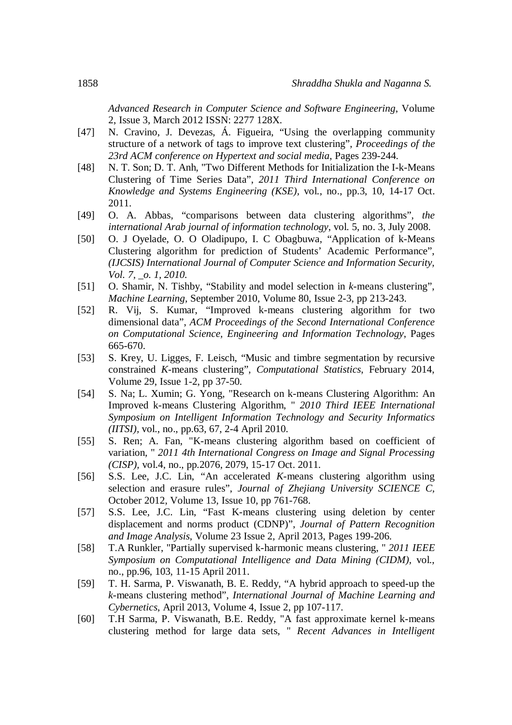*Advanced Research in Computer Science and Software Engineering*, Volume 2, Issue 3, March 2012 ISSN: 2277 128X.

- [47] N. Cravino, J. Devezas, Á. Figueira, "Using the overlapping community structure of a network of tags to improve text clustering", *Proceedings of the 23rd ACM conference on Hypertext and social media*, Pages 239-244.
- [48] N. T. Son; D. T. Anh, "Two Different Methods for Initialization the I-k-Means Clustering of Time Series Data", *2011 Third International Conference on Knowledge and Systems Engineering (KSE),* vol., no., pp.3, 10, 14-17 Oct. 2011.
- [49] O. A. Abbas, "comparisons between data clustering algorithms", *the international Arab journal of information technology*, vol. 5, no. 3, July 2008.
- [50] O. J Oyelade, O. O Oladipupo, I. C Obagbuwa, "Application of k-Means Clustering algorithm for prediction of Students' Academic Performance", *(IJCSIS) International Journal of Computer Science and Information Security, Vol. 7, \_o. 1, 2010.*
- [51] O. Shamir, N. Tishby, "Stability and model selection in *k*-means clustering", *Machine Learning*, September 2010, Volume 80, Issue 2-3, pp 213-243.
- [52] R. Vij, S. Kumar, "Improved k-means clustering algorithm for two dimensional data", *ACM Proceedings of the Second International Conference on Computational Science, Engineering and Information Technology*, Pages 665-670.
- [53] S. Krey, U. Ligges, F. Leisch, "Music and timbre segmentation by recursive constrained *K*-means clustering", *Computational Statistics*, February 2014, Volume 29, Issue 1-2, pp 37-50.
- [54] S. Na; L. Xumin; G. Yong, "Research on k-means Clustering Algorithm: An Improved k-means Clustering Algorithm, " *2010 Third IEEE International Symposium on Intelligent Information Technology and Security Informatics (IITSI),* vol., no., pp.63, 67, 2-4 April 2010.
- [55] S. Ren; A. Fan, "K-means clustering algorithm based on coefficient of variation, " *2011 4th International Congress on Image and Signal Processing (CISP),* vol.4, no., pp.2076, 2079, 15-17 Oct. 2011.
- [56] S.S. Lee, J.C. Lin, "An accelerated *K*-means clustering algorithm using selection and erasure rules", *Journal of Zhejiang University SCIENCE C,* October 2012, Volume 13, Issue 10, pp 761-768.
- [57] S.S. Lee, J.C. Lin, "Fast K-means clustering using deletion by center displacement and norms product (CDNP)", *Journal of Pattern Recognition and Image Analysis*, Volume 23 Issue 2, April 2013, Pages 199-206.
- [58] T.A Runkler, "Partially supervised k-harmonic means clustering, " *2011 IEEE Symposium on Computational Intelligence and Data Mining (CIDM),* vol., no., pp.96, 103, 11-15 April 2011.
- [59] T. H. Sarma, P. Viswanath, B. E. Reddy, "A hybrid approach to speed-up the *k*-means clustering method", *International Journal of Machine Learning and Cybernetics*, April 2013, Volume 4, Issue 2, pp 107-117.
- [60] T.H Sarma, P. Viswanath, B.E. Reddy, "A fast approximate kernel k-means clustering method for large data sets, " *Recent Advances in Intelligent*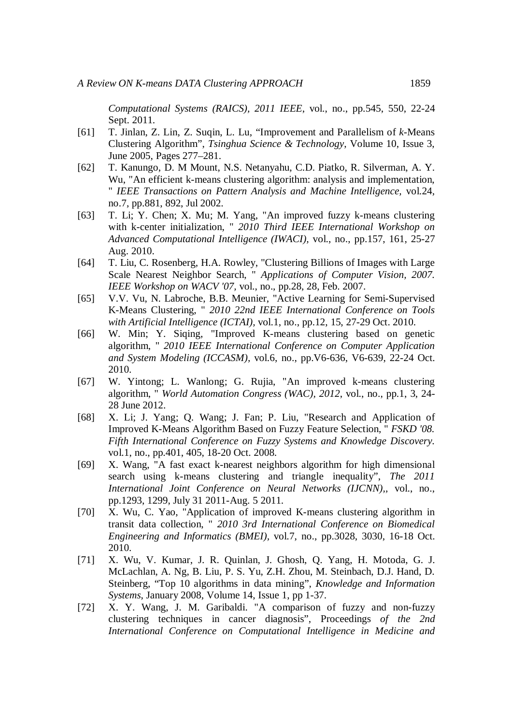*Computational Systems (RAICS), 2011 IEEE*, vol., no., pp.545, 550, 22-24 Sept. 2011.

- [61] T. Jinlan, Z. Lin, Z. Suqin, L. Lu, "Improvement and Parallelism of *k*-Means Clustering Algorithm", *Tsinghua Science & Technology*, Volume 10, Issue 3, June 2005, Pages 277–281.
- [62] T. Kanungo, D. M Mount, N.S. Netanyahu, C.D. Piatko, R. Silverman, A. Y. Wu, "An efficient k-means clustering algorithm: analysis and implementation, " *IEEE Transactions on Pattern Analysis and Machine Intelligence,* vol.24, no.7, pp.881, 892, Jul 2002.
- [63] T. Li; Y. Chen; X. Mu; M. Yang, "An improved fuzzy k-means clustering with k-center initialization, " *2010 Third IEEE International Workshop on Advanced Computational Intelligence (IWACI),* vol., no., pp.157, 161, 25-27 Aug. 2010.
- [64] T. Liu, C. Rosenberg, H.A. Rowley, "Clustering Billions of Images with Large Scale Nearest Neighbor Search, " *Applications of Computer Vision, 2007. IEEE Workshop on WACV '07,* vol., no., pp.28, 28, Feb. 2007.
- [65] V.V. Vu, N. Labroche, B.B. Meunier, "Active Learning for Semi-Supervised K-Means Clustering, " *2010 22nd IEEE International Conference on Tools with Artificial Intelligence (ICTAI),* vol.1, no., pp.12, 15, 27-29 Oct. 2010.
- [66] W. Min; Y. Siqing, "Improved K-means clustering based on genetic algorithm, " *2010 IEEE International Conference on Computer Application and System Modeling (ICCASM),* vol.6, no., pp.V6-636, V6-639, 22-24 Oct. 2010.
- [67] W. Yintong; L. Wanlong; G. Rujia, "An improved k-means clustering algorithm, " *World Automation Congress (WAC), 2012*, vol., no., pp.1, 3, 24- 28 June 2012.
- [68] X. Li; J. Yang; Q. Wang; J. Fan; P. Liu, "Research and Application of Improved K-Means Algorithm Based on Fuzzy Feature Selection, " *FSKD '08. Fifth International Conference on Fuzzy Systems and Knowledge Discovery.* vol.1, no., pp.401, 405, 18-20 Oct. 2008.
- [69] X. Wang, "A fast exact k-nearest neighbors algorithm for high dimensional search using k-means clustering and triangle inequality", *The 2011 International Joint Conference on Neural Networks (IJCNN),,* vol., no., pp.1293, 1299, July 31 2011-Aug. 5 2011.
- [70] X. Wu, C. Yao, "Application of improved K-means clustering algorithm in transit data collection, " *2010 3rd International Conference on Biomedical Engineering and Informatics (BMEI),* vol.7, no., pp.3028, 3030, 16-18 Oct. 2010.
- [71] X. Wu, V. Kumar, J. R. Quinlan, J. Ghosh, Q. Yang, H. Motoda, G. J. McLachlan, A. Ng, B. Liu, P. S. Yu, Z.H. Zhou, M. Steinbach, D.J. Hand, D. Steinberg, "Top 10 algorithms in data mining", *Knowledge and Information Systems*, January 2008, Volume 14, Issue 1, pp 1-37.
- [72] X. Y. Wang, J. M. Garibaldi. "A comparison of fuzzy and non-fuzzy clustering techniques in cancer diagnosis", Proceedings *of the 2nd International Conference on Computational Intelligence in Medicine and*